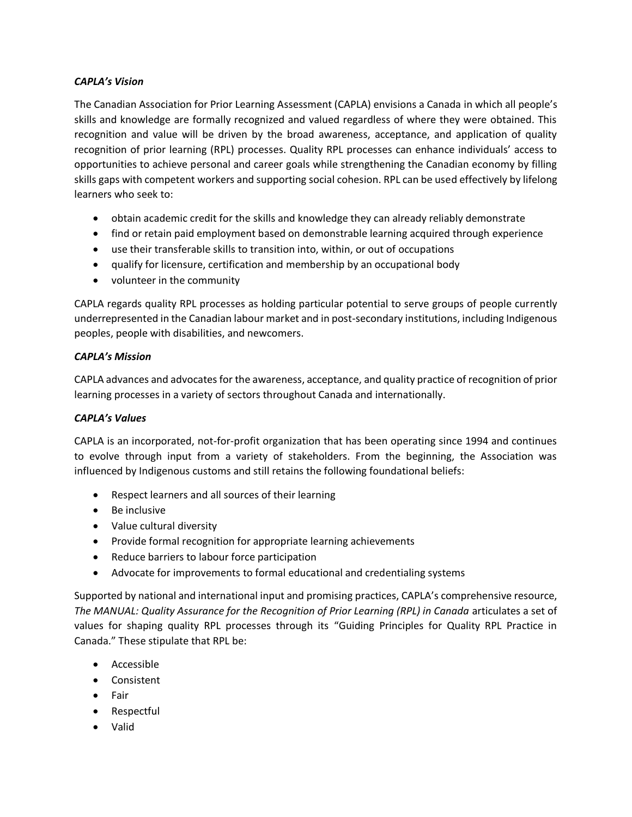### *CAPLA's Vision*

The Canadian Association for Prior Learning Assessment (CAPLA) envisions a Canada in which all people's skills and knowledge are formally recognized and valued regardless of where they were obtained. This recognition and value will be driven by the broad awareness, acceptance, and application of quality recognition of prior learning (RPL) processes. Quality RPL processes can enhance individuals' access to opportunities to achieve personal and career goals while strengthening the Canadian economy by filling skills gaps with competent workers and supporting social cohesion. RPL can be used effectively by lifelong learners who seek to:

- obtain academic credit for the skills and knowledge they can already reliably demonstrate
- find or retain paid employment based on demonstrable learning acquired through experience
- use their transferable skills to transition into, within, or out of occupations
- qualify for licensure, certification and membership by an occupational body
- volunteer in the community

CAPLA regards quality RPL processes as holding particular potential to serve groups of people currently underrepresented in the Canadian labour market and in post-secondary institutions, including Indigenous peoples, people with disabilities, and newcomers.

## *CAPLA's Mission*

CAPLA advances and advocates for the awareness, acceptance, and quality practice of recognition of prior learning processes in a variety of sectors throughout Canada and internationally.

### *CAPLA's Values*

CAPLA is an incorporated, not-for-profit organization that has been operating since 1994 and continues to evolve through input from a variety of stakeholders. From the beginning, the Association was influenced by Indigenous customs and still retains the following foundational beliefs:

- Respect learners and all sources of their learning
- Be inclusive
- Value cultural diversity
- Provide formal recognition for appropriate learning achievements
- Reduce barriers to labour force participation
- Advocate for improvements to formal educational and credentialing systems

Supported by national and international input and promising practices, CAPLA's comprehensive resource, *The MANUAL: Quality Assurance for the Recognition of Prior Learning (RPL) in Canada* articulates a set of values for shaping quality RPL processes through its "Guiding Principles for Quality RPL Practice in Canada." These stipulate that RPL be:

- Accessible
- Consistent
- Fair
- Respectful
- Valid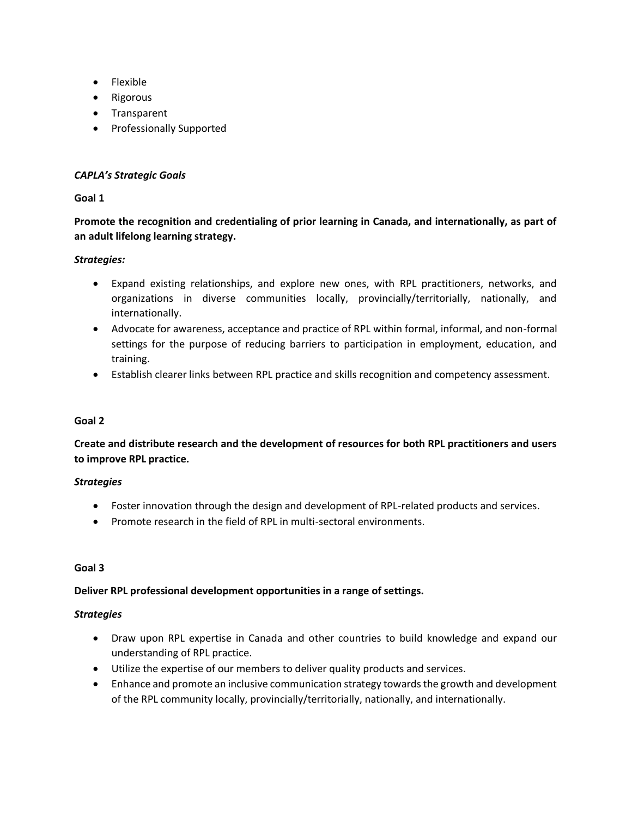- Flexible
- Rigorous
- Transparent
- Professionally Supported

## *CAPLA's Strategic Goals*

## **Goal 1**

# **Promote the recognition and credentialing of prior learning in Canada, and internationally, as part of an adult lifelong learning strategy.**

## *Strategies:*

- Expand existing relationships, and explore new ones, with RPL practitioners, networks, and organizations in diverse communities locally, provincially/territorially, nationally, and internationally.
- Advocate for awareness, acceptance and practice of RPL within formal, informal, and non-formal settings for the purpose of reducing barriers to participation in employment, education, and training.
- Establish clearer links between RPL practice and skills recognition and competency assessment.

### **Goal 2**

**Create and distribute research and the development of resources for both RPL practitioners and users to improve RPL practice.**

### *Strategies*

- Foster innovation through the design and development of RPL-related products and services.
- Promote research in the field of RPL in multi-sectoral environments.

### **Goal 3**

# **Deliver RPL professional development opportunities in a range of settings.**

### *Strategies*

- Draw upon RPL expertise in Canada and other countries to build knowledge and expand our understanding of RPL practice.
- Utilize the expertise of our members to deliver quality products and services.
- Enhance and promote an inclusive communication strategy towards the growth and development of the RPL community locally, provincially/territorially, nationally, and internationally.